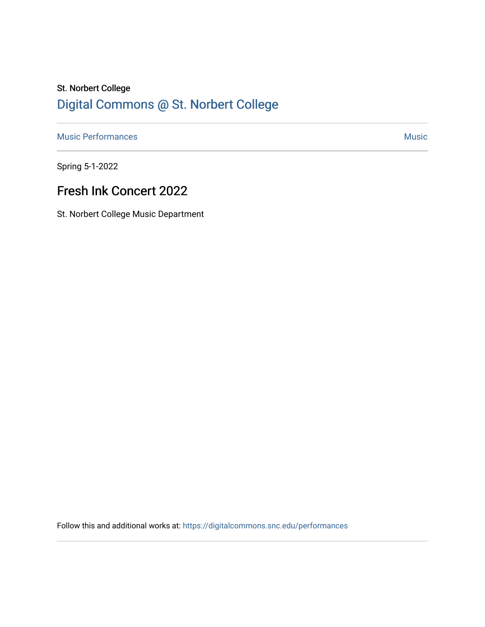# St. Norbert College [Digital Commons @ St. Norbert College](https://digitalcommons.snc.edu/)

[Music Performances](https://digitalcommons.snc.edu/performances) **Music** [Music](https://digitalcommons.snc.edu/music) **Music** Music **Music** 

Spring 5-1-2022

## Fresh Ink Concert 2022

St. Norbert College Music Department

Follow this and additional works at: [https://digitalcommons.snc.edu/performances](https://digitalcommons.snc.edu/performances?utm_source=digitalcommons.snc.edu%2Fperformances%2F181&utm_medium=PDF&utm_campaign=PDFCoverPages)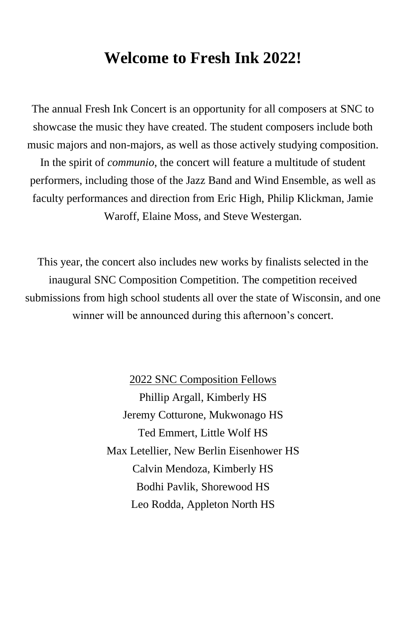## **Welcome to Fresh Ink 2022!**

The annual Fresh Ink Concert is an opportunity for all composers at SNC to showcase the music they have created. The student composers include both music majors and non-majors, as well as those actively studying composition. In the spirit of *communio*, the concert will feature a multitude of student performers, including those of the Jazz Band and Wind Ensemble, as well as faculty performances and direction from Eric High, Philip Klickman, Jamie Waroff, Elaine Moss, and Steve Westergan.

This year, the concert also includes new works by finalists selected in the inaugural SNC Composition Competition. The competition received submissions from high school students all over the state of Wisconsin, and one winner will be announced during this afternoon's concert.

> 2022 SNC Composition Fellows Phillip Argall, Kimberly HS Jeremy Cotturone, Mukwonago HS Ted Emmert, Little Wolf HS Max Letellier, New Berlin Eisenhower HS Calvin Mendoza, Kimberly HS Bodhi Pavlik, Shorewood HS Leo Rodda, Appleton North HS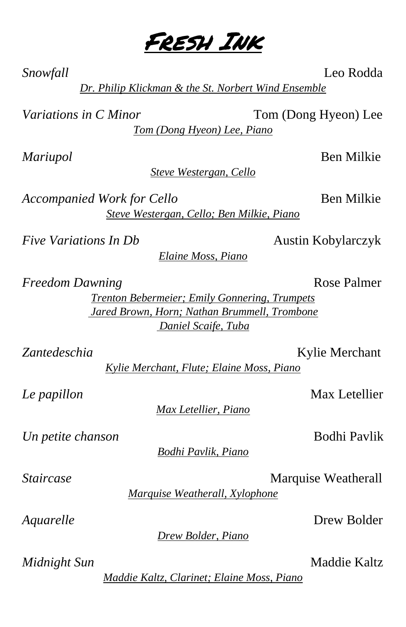*Mariupol* Ben Milkie

*Steve Westergan, Cello*

*Accompanied Work for Cello* Ben Milkie

*Five Variations In Db* Austin Kobylarczyk

*Elaine Moss, Piano*

*Freedom Dawning* Rose Palmer

*Trenton Bebermeier; Emily Gonnering, Trumpets Jared Brown, Horn; Nathan Brummell, Trombone Daniel Scaife, Tuba*

Zantedeschia Kylie Merchant *Kylie Merchant, Flute; Elaine Moss, Piano*

*Le papillon* Max Letellier

*Un petite chanson* Bodhi Pavlik

*Bodhi Pavlik, Piano*

*Marquise Weatherall, Xylophone*

*Max Letellier, Piano*

*Drew Bolder, Piano*

*Maddie Kaltz, Clarinet; Elaine Moss, Piano*

*Steve Westergan, Cello; Ben Milkie, Piano*

**Staircase** Marquise Weatherall

*Aquarelle* Drew Bolder

*Midnight Sun* Maddie Kaltz

*Snowfall* Leo Rodda

*Dr. Philip Klickman & the St. Norbert Wind Ensemble*

*Variations in C Minor* Tom (Dong Hyeon) Lee

*Tom (Dong Hyeon) Lee, Piano*

Fresh Ink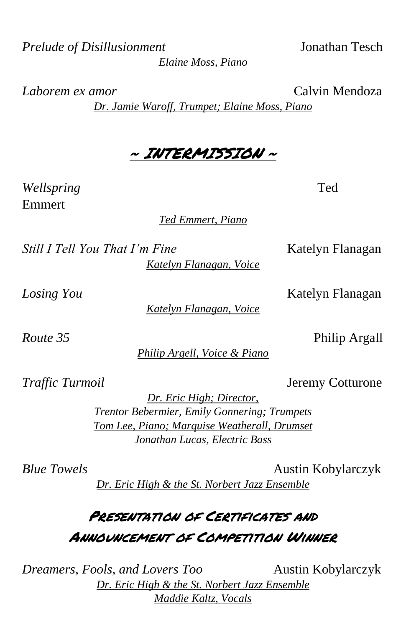*Prelude of Disillusionment* Jonathan Tesch

*Elaine Moss, Piano*

*Laborem ex amor* Calvin Mendoza

*Dr. Jamie Waroff, Trumpet; Elaine Moss, Piano*

## ~ INTERMISSION ~

*Wellspring* Ted Emmert

*Ted Emmert, Piano*

*Still I Tell You That I'm Fine* Katelyn Flanagan

*Katelyn Flanagan, Voice*

*Katelyn Flanagan, Voice*

*Route 35* Philip Argall

*Philip Argell, Voice & Piano*

*Traffic Turmoil* **Jeremy Cotturone** 

*Dr. Eric High; Director, Trentor Bebermier, Emily Gonnering; Trumpets Tom Lee, Piano; Marquise Weatherall, Drumset Jonathan Lucas, Electric Bass*

*Blue Towels* **Austin Kobylarczyk** *Dr. Eric High & the St. Norbert Jazz Ensemble*

# PRESENTATION OF CERTIFICATES AND Announcement of Competition Winner

*Dreamers, Fools, and Lovers Too* Austin Kobylarczyk *Dr. Eric High & the St. Norbert Jazz Ensemble Maddie Kaltz, Vocals*

*Losing You* Katelyn Flanagan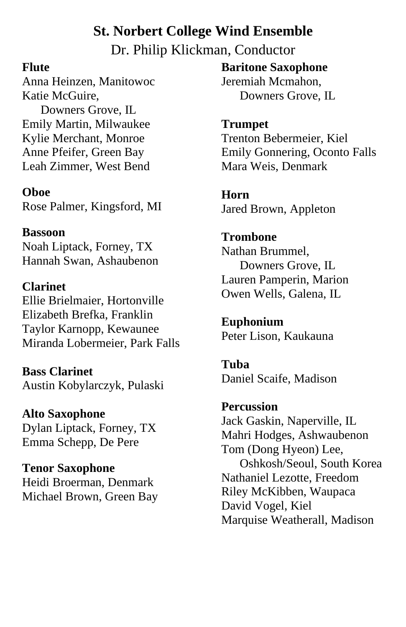### **St. Norbert College Wind Ensemble**

Dr. Philip Klickman, Conductor

#### **Flute**

Anna Heinzen, Manitowoc Katie McGuire,

 Downers Grove, IL Emily Martin, Milwaukee Kylie Merchant, Monroe Anne Pfeifer, Green Bay Leah Zimmer, West Bend

**Oboe**

Rose Palmer, Kingsford, MI

#### **Bassoon**

Noah Liptack, Forney, TX Hannah Swan, Ashaubenon

**Clarinet** Ellie Brielmaier, Hortonville Elizabeth Brefka, Franklin Taylor Karnopp, Kewaunee Miranda Lobermeier, Park Falls

**Bass Clarinet** Austin Kobylarczyk, Pulaski

**Alto Saxophone** Dylan Liptack, Forney, TX Emma Schepp, De Pere

**Tenor Saxophone** Heidi Broerman, Denmark Michael Brown, Green Bay **Baritone Saxophone** Jeremiah Mcmahon, Downers Grove, IL

**Trumpet** Trenton Bebermeier, Kiel Emily Gonnering, Oconto Falls Mara Weis, Denmark

**Horn** Jared Brown, Appleton

**Trombone** Nathan Brummel, Downers Grove, IL Lauren Pamperin, Marion Owen Wells, Galena, IL

**Euphonium** Peter Lison, Kaukauna

**Tuba** Daniel Scaife, Madison

**Percussion**  Jack Gaskin, Naperville, IL Mahri Hodges, Ashwaubenon Tom (Dong Hyeon) Lee, Oshkosh/Seoul, South Korea Nathaniel Lezotte, Freedom Riley McKibben, Waupaca David Vogel, Kiel Marquise Weatherall, Madison